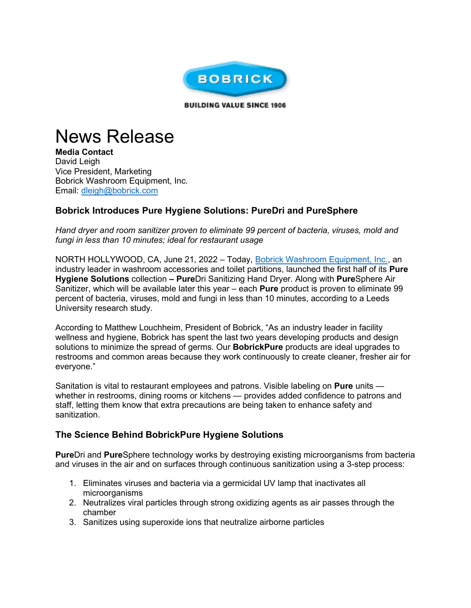

**BUILDING VALUE SINCE 1906** 

## News Release

**Media Contact** David Leigh Vice President, Marketing Bobrick Washroom Equipment, Inc. Email: [dleigh@bobrick.com](https://t.nylas.com/t1/71/7rg545qc5ptvufi1x6imenc99/0/3609f5ae42bbb9838308a5caa16b289f6e7146ed2e7ac6ca0d2b0313731d110a) 

## **Bobrick Introduces Pure Hygiene Solutions: PureDri and PureSphere**

*Hand dryer and room sanitizer proven to eliminate 99 percent of bacteria, viruses, mold and fungi in less than 10 minutes; ideal for restaurant usage*

NORTH HOLLYWOOD, CA, June 21, 2022 - Today, [Bobrick Washroom Equipment, Inc.,](https://t.nylas.com/t1/71/7rg545qc5ptvufi1x6imenc99/1/e7899383831522b46b3de8a06d9ff5b1778a4359952b4f82e6a720353617dd0a) an industry leader in washroom accessories and toilet partitions, launched the first half of its **Pure Hygiene Solutions** collection **– Pure**Dri Sanitizing Hand Dryer. Along with **Pure**Sphere Air Sanitizer, which will be available later this year – each **Pure** product is proven to eliminate 99 percent of bacteria, viruses, mold and fungi in less than 10 minutes, according to a Leeds University research study*.*

According to Matthew Louchheim, President of Bobrick, "As an industry leader in facility wellness and hygiene, Bobrick has spent the last two years developing products and design solutions to minimize the spread of germs. Our **BobrickPure** products are ideal upgrades to restrooms and common areas because they work continuously to create cleaner, fresher air for everyone."

Sanitation is vital to restaurant employees and patrons. Visible labeling on **Pure** units whether in restrooms, dining rooms or kitchens — provides added confidence to patrons and staff, letting them know that extra precautions are being taken to enhance safety and sanitization.

## **The Science Behind BobrickPure Hygiene Solutions**

**Pure**Dri and **Pure**Sphere technology works by destroying existing microorganisms from bacteria and viruses in the air and on surfaces through continuous sanitization using a 3-step process:

- 1. Eliminates viruses and bacteria via a germicidal UV lamp that inactivates all microorganisms
- 2. Neutralizes viral particles through strong oxidizing agents as air passes through the chamber
- 3. Sanitizes using superoxide ions that neutralize airborne particles